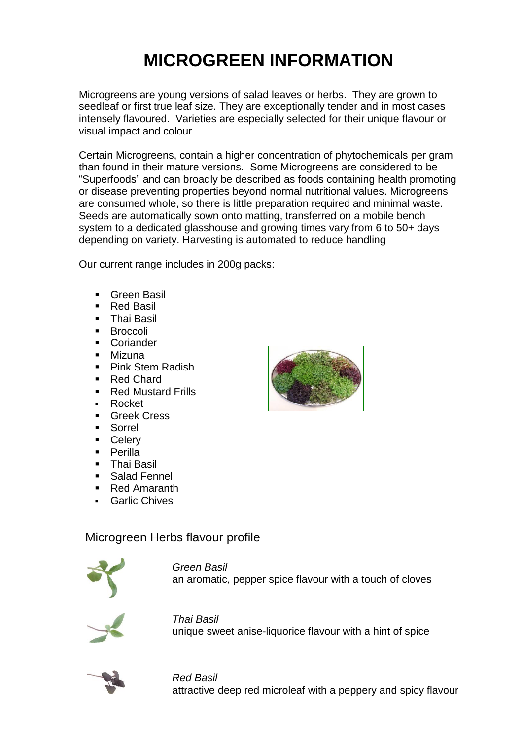# **MICROGREEN INFORMATION**

Microgreens are young versions of salad leaves or herbs. They are grown to seedleaf or first true leaf size. They are exceptionally tender and in most cases intensely flavoured. Varieties are especially selected for their unique flavour or visual impact and colour

Certain Microgreens, contain a higher concentration of phytochemicals per gram than found in their mature versions. Some Microgreens are considered to be "Superfoods" and can broadly be described as foods containing health promoting or disease preventing properties beyond normal nutritional values. Microgreens are consumed whole, so there is little preparation required and minimal waste. Seeds are automatically sown onto matting, transferred on a mobile bench system to a dedicated glasshouse and growing times vary from 6 to 50+ days depending on variety. Harvesting is automated to reduce handling

Our current range includes in 200g packs:

- Green Basil
- **Red Basil**
- Thai Basil
- **Broccoli**
- Coriander
- **Mizuna**
- **Pink Stem Radish**
- **Red Chard**
- **Red Mustard Frills**
- **Rocket**
- **Greek Cress**
- Sorrel
- Celery
- Perilla
- Thai Basil
- Salad Fennel
- **Red Amaranth**
- **Garlic Chives**

## Microgreen Herbs flavour profile



*Green Basil* an aromatic, pepper spice flavour with a touch of cloves



*Thai Basil* unique sweet anise-liquorice flavour with a hint of spice



*Red Basil* attractive deep red microleaf with a peppery and spicy flavour